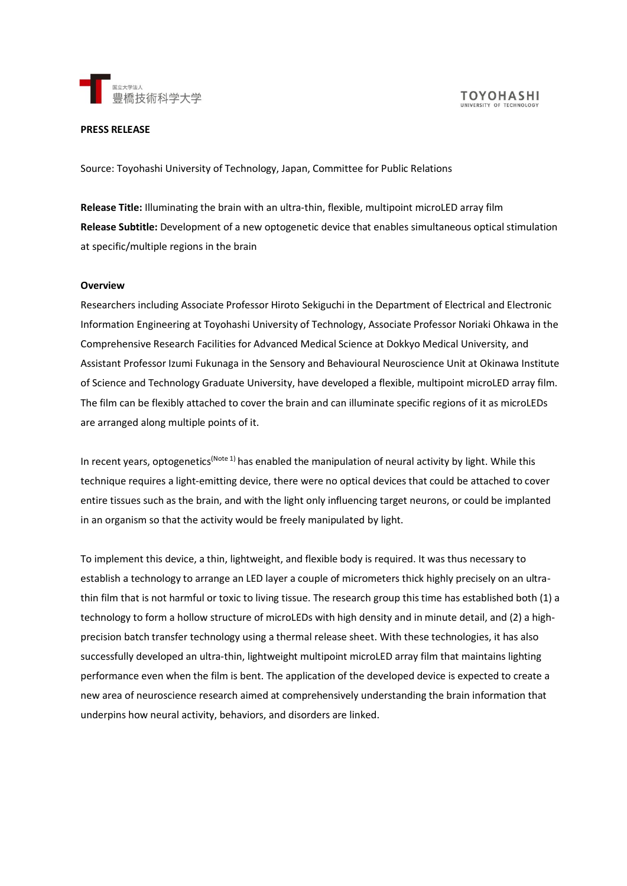

#### **PRESS RELEASE**

Source: Toyohashi University of Technology, Japan, Committee for Public Relations

**Release Title:** Illuminating the brain with an ultra-thin, flexible, multipoint microLED array film **Release Subtitle:** Development of a new optogenetic device that enables simultaneous optical stimulation at specific/multiple regions in the brain

#### **Overview**

Researchers including Associate Professor Hiroto Sekiguchi in the Department of Electrical and Electronic Information Engineering at Toyohashi University of Technology, Associate Professor Noriaki Ohkawa in the Comprehensive Research Facilities for Advanced Medical Science at Dokkyo Medical University, and Assistant Professor Izumi Fukunaga in the Sensory and Behavioural Neuroscience Unit at Okinawa Institute of Science and Technology Graduate University, have developed a flexible, multipoint microLED array film. The film can be flexibly attached to cover the brain and can illuminate specific regions of it as microLEDs are arranged along multiple points of it.

In recent years, optogenetics<sup>(Note 1)</sup> has enabled the manipulation of neural activity by light. While this technique requires a light-emitting device, there were no optical devices that could be attached to cover entire tissues such as the brain, and with the light only influencing target neurons, or could be implanted in an organism so that the activity would be freely manipulated by light.

To implement this device, a thin, lightweight, and flexible body is required. It was thus necessary to establish a technology to arrange an LED layer a couple of micrometers thick highly precisely on an ultrathin film that is not harmful or toxic to living tissue. The research group this time has established both (1) a technology to form a hollow structure of microLEDs with high density and in minute detail, and (2) a highprecision batch transfer technology using a thermal release sheet. With these technologies, it has also successfully developed an ultra-thin, lightweight multipoint microLED array film that maintains lighting performance even when the film is bent. The application of the developed device is expected to create a new area of neuroscience research aimed at comprehensively understanding the brain information that underpins how neural activity, behaviors, and disorders are linked.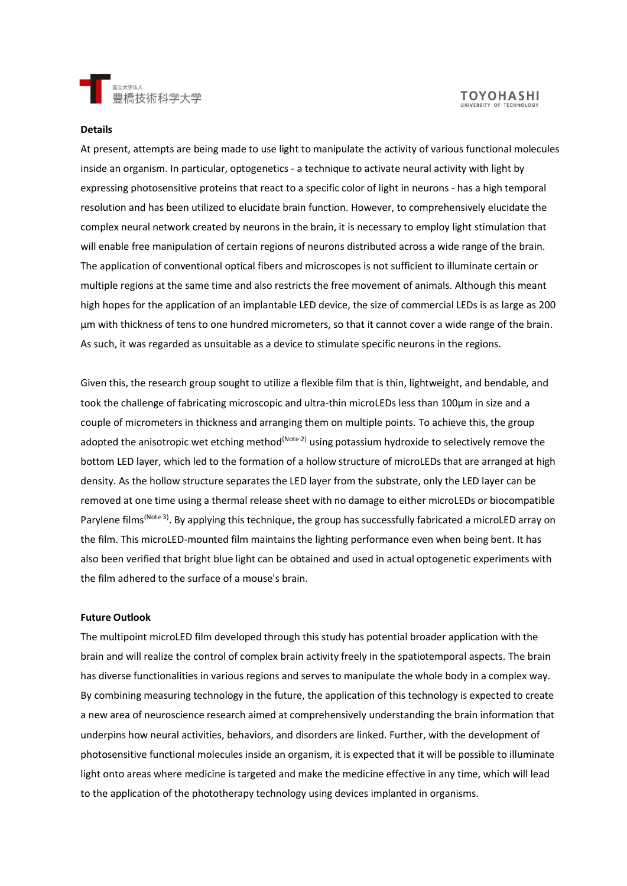

# **TOYOHASHI**

#### **Details**

At present, attempts are being made to use light to manipulate the activity of various functional molecules inside an organism. In particular, optogenetics - a technique to activate neural activity with light by expressing photosensitive proteins that react to a specific color of light in neurons - has a high temporal resolution and has been utilized to elucidate brain function. However, to comprehensively elucidate the complex neural network created by neurons in the brain, it is necessary to employ light stimulation that will enable free manipulation of certain regions of neurons distributed across a wide range of the brain. The application of conventional optical fibers and microscopes is not sufficient to illuminate certain or multiple regions at the same time and also restricts the free movement of animals. Although this meant high hopes for the application of an implantable LED device, the size of commercial LEDs is as large as 200 µm with thickness of tens to one hundred micrometers, so that it cannot cover a wide range of the brain. As such, it was regarded as unsuitable as a device to stimulate specific neurons in the regions.

Given this, the research group sought to utilize a flexible film that is thin, lightweight, and bendable, and took the challenge of fabricating microscopic and ultra-thin microLEDs less than 100µm in size and a couple of micrometers in thickness and arranging them on multiple points. To achieve this, the group adopted the anisotropic wet etching method<sup>(Note 2)</sup> using potassium hydroxide to selectively remove the bottom LED layer, which led to the formation of a hollow structure of microLEDs that are arranged at high density. As the hollow structure separates the LED layer from the substrate, only the LED layer can be removed at one time using a thermal release sheet with no damage to either microLEDs or biocompatible Parylene films<sup>(Note 3)</sup>. By applying this technique, the group has successfully fabricated a microLED array on the film. This microLED-mounted film maintains the lighting performance even when being bent. It has also been verified that bright blue light can be obtained and used in actual optogenetic experiments with the film adhered to the surface of a mouse's brain.

#### **Future Outlook**

The multipoint microLED film developed through this study has potential broader application with the brain and will realize the control of complex brain activity freely in the spatiotemporal aspects. The brain has diverse functionalities in various regions and serves to manipulate the whole body in a complex way. By combining measuring technology in the future, the application of this technology is expected to create a new area of neuroscience research aimed at comprehensively understanding the brain information that underpins how neural activities, behaviors, and disorders are linked. Further, with the development of photosensitive functional molecules inside an organism, it is expected that it will be possible to illuminate light onto areas where medicine is targeted and make the medicine effective in any time, which will lead to the application of the phototherapy technology using devices implanted in organisms.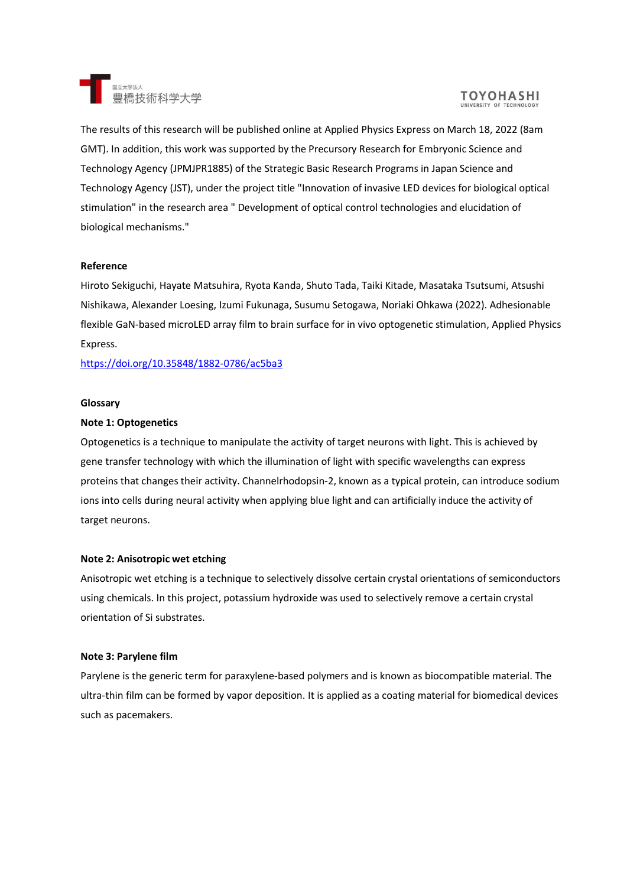

# **TOYOHASHI**

The results of this research will be published online at Applied Physics Express on March 18, 2022 (8am GMT). In addition, this work was supported by the Precursory Research for Embryonic Science and Technology Agency (JPMJPR1885) of the Strategic Basic Research Programs in Japan Science and Technology Agency (JST), under the project title "Innovation of invasive LED devices for biological optical stimulation" in the research area " Development of optical control technologies and elucidation of biological mechanisms."

### **Reference**

Hiroto Sekiguchi, Hayate Matsuhira, Ryota Kanda, Shuto Tada, Taiki Kitade, Masataka Tsutsumi, Atsushi Nishikawa, Alexander Loesing, Izumi Fukunaga, Susumu Setogawa, Noriaki Ohkawa (2022). Adhesionable flexible GaN-based microLED array film to brain surface for in vivo optogenetic stimulation, Applied Physics Express.

<https://doi.org/10.35848/1882-0786/ac5ba3>

#### **Glossary**

#### **Note 1: Optogenetics**

Optogenetics is a technique to manipulate the activity of target neurons with light. This is achieved by gene transfer technology with which the illumination of light with specific wavelengths can express proteins that changes their activity. Channelrhodopsin-2, known as a typical protein, can introduce sodium ions into cells during neural activity when applying blue light and can artificially induce the activity of target neurons.

#### **Note 2: Anisotropic wet etching**

Anisotropic wet etching is a technique to selectively dissolve certain crystal orientations of semiconductors using chemicals. In this project, potassium hydroxide was used to selectively remove a certain crystal orientation of Si substrates.

#### **Note 3: Parylene film**

Parylene is the generic term for paraxylene-based polymers and is known as biocompatible material. The ultra-thin film can be formed by vapor deposition. It is applied as a coating material for biomedical devices such as pacemakers.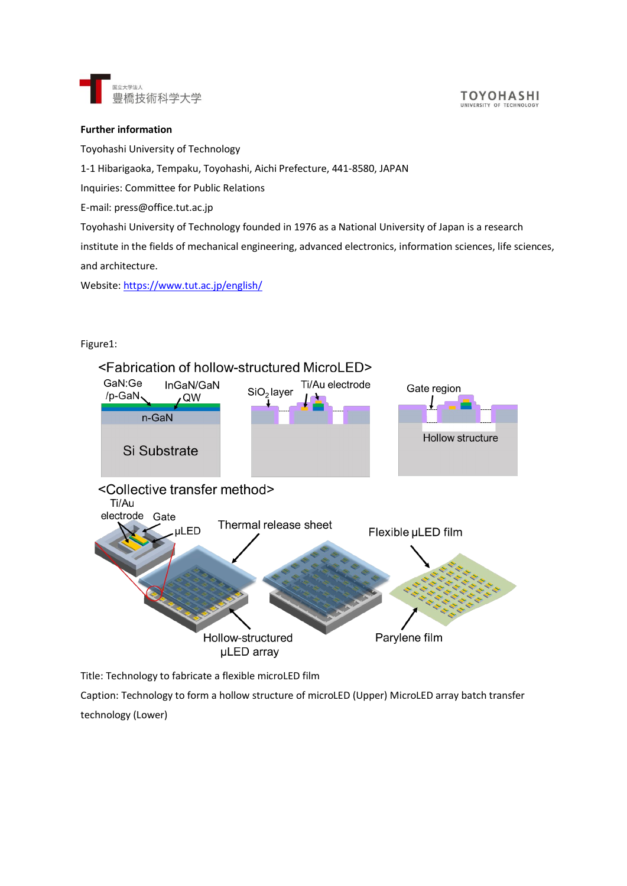

#### **TOYOHASHI** UNIVERSITY OF TECHNOL

## **Further information**

Toyohashi University of Technology

## 1-1 Hibarigaoka, Tempaku, Toyohashi, Aichi Prefecture, 441-8580, JAPAN

Inquiries: Committee for Public Relations

E-mail: press@office.tut.ac.jp

Toyohashi University of Technology founded in 1976 as a National University of Japan is a research

institute in the fields of mechanical engineering, advanced electronics, information sciences, life sciences, and architecture.

Website:<https://www.tut.ac.jp/english/>

# Figure1:



Title: Technology to fabricate a flexible microLED film

Caption: Technology to form a hollow structure of microLED (Upper) MicroLED array batch transfer technology (Lower)